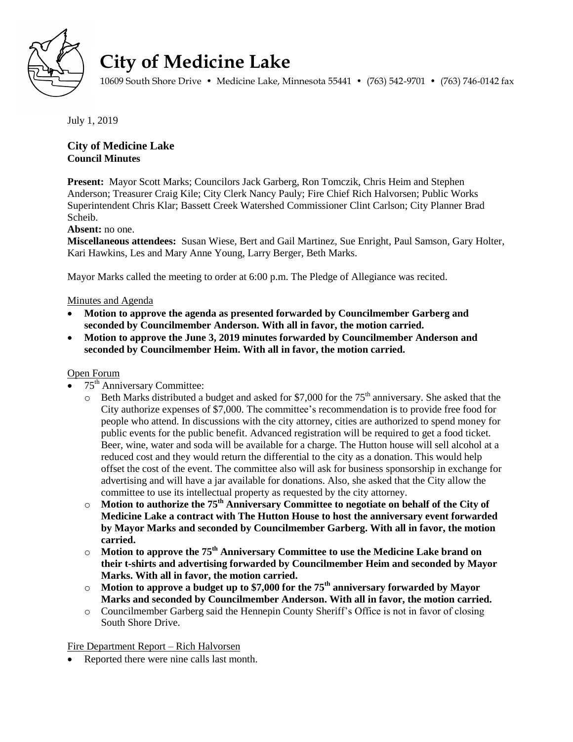

# **City of Medicine Lake**

10609 South Shore Drive • Medicine Lake, Minnesota 55441 • (763) 542-9701 • (763) 746-0142 fax

July 1, 2019

# **City of Medicine Lake Council Minutes**

**Present:** Mayor Scott Marks; Councilors Jack Garberg, Ron Tomczik, Chris Heim and Stephen Anderson; Treasurer Craig Kile; City Clerk Nancy Pauly; Fire Chief Rich Halvorsen; Public Works Superintendent Chris Klar; Bassett Creek Watershed Commissioner Clint Carlson; City Planner Brad Scheib.

# **Absent:** no one.

**Miscellaneous attendees:** Susan Wiese, Bert and Gail Martinez, Sue Enright, Paul Samson, Gary Holter, Kari Hawkins, Les and Mary Anne Young, Larry Berger, Beth Marks.

Mayor Marks called the meeting to order at 6:00 p.m. The Pledge of Allegiance was recited.

# Minutes and Agenda

- **Motion to approve the agenda as presented forwarded by Councilmember Garberg and seconded by Councilmember Anderson. With all in favor, the motion carried.**
- **Motion to approve the June 3, 2019 minutes forwarded by Councilmember Anderson and seconded by Councilmember Heim. With all in favor, the motion carried.**

# Open Forum

- 75<sup>th</sup> Anniversary Committee:
	- $\circ$  Beth Marks distributed a budget and asked for \$7,000 for the 75<sup>th</sup> anniversary. She asked that the City authorize expenses of \$7,000. The committee's recommendation is to provide free food for people who attend. In discussions with the city attorney, cities are authorized to spend money for public events for the public benefit. Advanced registration will be required to get a food ticket. Beer, wine, water and soda will be available for a charge. The Hutton house will sell alcohol at a reduced cost and they would return the differential to the city as a donation. This would help offset the cost of the event. The committee also will ask for business sponsorship in exchange for advertising and will have a jar available for donations. Also, she asked that the City allow the committee to use its intellectual property as requested by the city attorney.
	- o **Motion to authorize the 75th Anniversary Committee to negotiate on behalf of the City of Medicine Lake a contract with The Hutton House to host the anniversary event forwarded by Mayor Marks and seconded by Councilmember Garberg. With all in favor, the motion carried.**
	- o **Motion to approve the 75th Anniversary Committee to use the Medicine Lake brand on their t-shirts and advertising forwarded by Councilmember Heim and seconded by Mayor Marks. With all in favor, the motion carried.**
	- o **Motion to approve a budget up to \$7,000 for the 75th anniversary forwarded by Mayor Marks and seconded by Councilmember Anderson. With all in favor, the motion carried.**
	- o Councilmember Garberg said the Hennepin County Sheriff's Office is not in favor of closing South Shore Drive.

Fire Department Report – Rich Halvorsen

• Reported there were nine calls last month.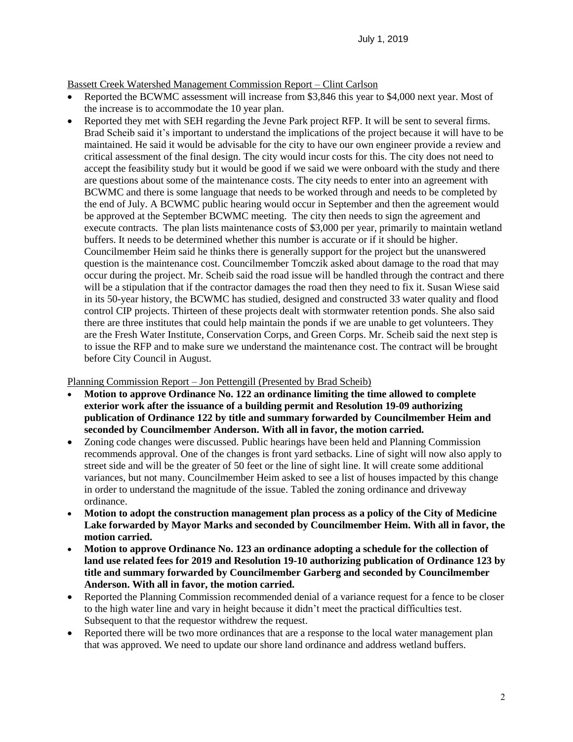# Bassett Creek Watershed Management Commission Report – Clint Carlson

- Reported the BCWMC assessment will increase from \$3,846 this year to \$4,000 next year. Most of the increase is to accommodate the 10 year plan.
- Reported they met with SEH regarding the Jevne Park project RFP. It will be sent to several firms. Brad Scheib said it's important to understand the implications of the project because it will have to be maintained. He said it would be advisable for the city to have our own engineer provide a review and critical assessment of the final design. The city would incur costs for this. The city does not need to accept the feasibility study but it would be good if we said we were onboard with the study and there are questions about some of the maintenance costs. The city needs to enter into an agreement with BCWMC and there is some language that needs to be worked through and needs to be completed by the end of July. A BCWMC public hearing would occur in September and then the agreement would be approved at the September BCWMC meeting. The city then needs to sign the agreement and execute contracts. The plan lists maintenance costs of \$3,000 per year, primarily to maintain wetland buffers. It needs to be determined whether this number is accurate or if it should be higher. Councilmember Heim said he thinks there is generally support for the project but the unanswered question is the maintenance cost. Councilmember Tomczik asked about damage to the road that may occur during the project. Mr. Scheib said the road issue will be handled through the contract and there will be a stipulation that if the contractor damages the road then they need to fix it. Susan Wiese said in its 50-year history, the BCWMC has studied, designed and constructed 33 water quality and flood control CIP projects. Thirteen of these projects dealt with stormwater retention ponds. She also said there are three institutes that could help maintain the ponds if we are unable to get volunteers. They are the Fresh Water Institute, Conservation Corps, and Green Corps. Mr. Scheib said the next step is to issue the RFP and to make sure we understand the maintenance cost. The contract will be brought before City Council in August.

## Planning Commission Report – Jon Pettengill (Presented by Brad Scheib)

- **Motion to approve Ordinance No. 122 an ordinance limiting the time allowed to complete exterior work after the issuance of a building permit and Resolution 19-09 authorizing publication of Ordinance 122 by title and summary forwarded by Councilmember Heim and seconded by Councilmember Anderson. With all in favor, the motion carried.**
- Zoning code changes were discussed. Public hearings have been held and Planning Commission recommends approval. One of the changes is front yard setbacks. Line of sight will now also apply to street side and will be the greater of 50 feet or the line of sight line. It will create some additional variances, but not many. Councilmember Heim asked to see a list of houses impacted by this change in order to understand the magnitude of the issue. Tabled the zoning ordinance and driveway ordinance.
- **Motion to adopt the construction management plan process as a policy of the City of Medicine Lake forwarded by Mayor Marks and seconded by Councilmember Heim. With all in favor, the motion carried.**
- **Motion to approve Ordinance No. 123 an ordinance adopting a schedule for the collection of land use related fees for 2019 and Resolution 19-10 authorizing publication of Ordinance 123 by title and summary forwarded by Councilmember Garberg and seconded by Councilmember Anderson. With all in favor, the motion carried.**
- Reported the Planning Commission recommended denial of a variance request for a fence to be closer to the high water line and vary in height because it didn't meet the practical difficulties test. Subsequent to that the requestor withdrew the request.
- Reported there will be two more ordinances that are a response to the local water management plan that was approved. We need to update our shore land ordinance and address wetland buffers.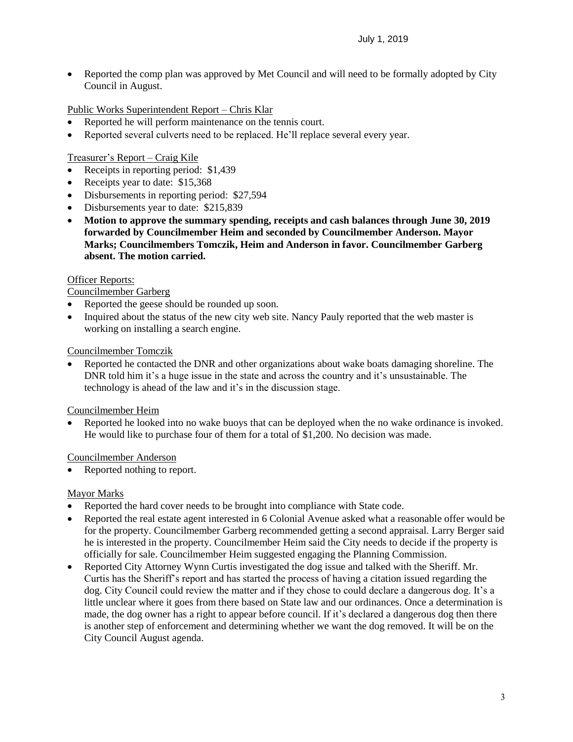• Reported the comp plan was approved by Met Council and will need to be formally adopted by City Council in August.

Public Works Superintendent Report – Chris Klar

- Reported he will perform maintenance on the tennis court.
- Reported several culverts need to be replaced. He'll replace several every year.

# Treasurer's Report – Craig Kile

- Receipts in reporting period: \$1,439
- Receipts year to date: \$15,368
- Disbursements in reporting period: \$27,594
- Disbursements year to date: \$215,839
- **Motion to approve the summary spending, receipts and cash balances through June 30, 2019 forwarded by Councilmember Heim and seconded by Councilmember Anderson. Mayor Marks; Councilmembers Tomczik, Heim and Anderson in favor. Councilmember Garberg absent. The motion carried.**

## Officer Reports:

Councilmember Garberg

- Reported the geese should be rounded up soon.
- Inquired about the status of the new city web site. Nancy Pauly reported that the web master is working on installing a search engine.

## Councilmember Tomczik

 Reported he contacted the DNR and other organizations about wake boats damaging shoreline. The DNR told him it's a huge issue in the state and across the country and it's unsustainable. The technology is ahead of the law and it's in the discussion stage.

## Councilmember Heim

 Reported he looked into no wake buoys that can be deployed when the no wake ordinance is invoked. He would like to purchase four of them for a total of \$1,200. No decision was made.

## Councilmember Anderson

• Reported nothing to report.

## Mayor Marks

- Reported the hard cover needs to be brought into compliance with State code.
- Reported the real estate agent interested in 6 Colonial Avenue asked what a reasonable offer would be for the property. Councilmember Garberg recommended getting a second appraisal. Larry Berger said he is interested in the property. Councilmember Heim said the City needs to decide if the property is officially for sale. Councilmember Heim suggested engaging the Planning Commission.
- Reported City Attorney Wynn Curtis investigated the dog issue and talked with the Sheriff. Mr. Curtis has the Sheriff's report and has started the process of having a citation issued regarding the dog. City Council could review the matter and if they chose to could declare a dangerous dog. It's a little unclear where it goes from there based on State law and our ordinances. Once a determination is made, the dog owner has a right to appear before council. If it's declared a dangerous dog then there is another step of enforcement and determining whether we want the dog removed. It will be on the City Council August agenda.